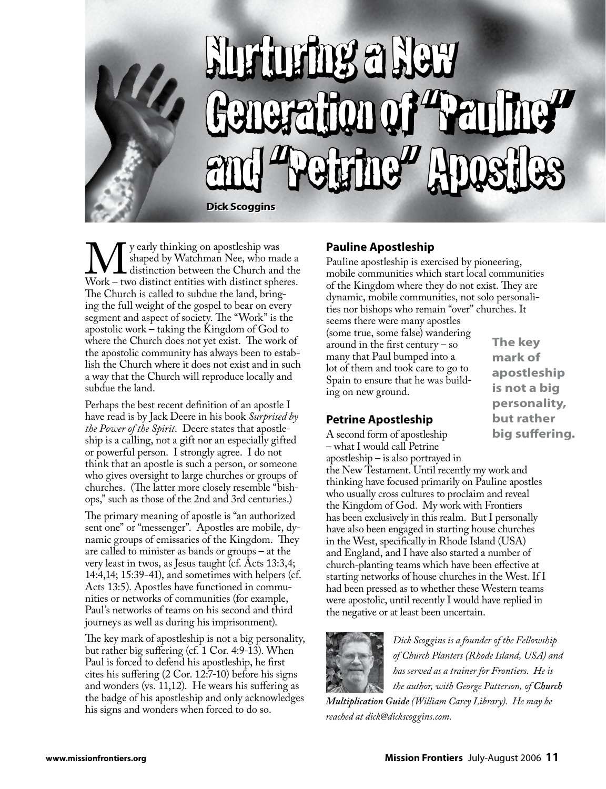

## Nurturing a New Nurturing a New Generation of "Pauline" and "Petrine" Apostles Generation of "Pauline" and "Petrine" Apostles

**Dick Scoggins Dick Scoggins**

We yearly thinking on apostleship was<br>
distinction between the Church and the<br>
Work – two distinct entities with distinct spheres. shaped by Watchman Nee, who made a distinction between the Church and the The Church is called to subdue the land, bringing the full weight of the gospel to bear on every segment and aspect of society. The "Work" is the apostolic work – taking the Kingdom of God to where the Church does not yet exist. The work of the apostolic community has always been to establish the Church where it does not exist and in such a way that the Church will reproduce locally and subdue the land.

Perhaps the best recent definition of an apostle I have read is by Jack Deere in his book *Surprised by the Power of the Spirit*. Deere states that apostleship is a calling, not a gift nor an especially gifted or powerful person. I strongly agree. I do not think that an apostle is such a person, or someone who gives oversight to large churches or groups of churches. (The latter more closely resemble "bishops," such as those of the 2nd and 3rd centuries.)

The primary meaning of apostle is "an authorized sent one" or "messenger". Apostles are mobile, dynamic groups of emissaries of the Kingdom. They are called to minister as bands or groups – at the very least in twos, as Jesus taught (cf. Acts 13:3,4; 14:4,14; 15:39-41), and sometimes with helpers (cf. Acts 13:5). Apostles have functioned in communities or networks of communities (for example, Paul's networks of teams on his second and third journeys as well as during his imprisonment).

The key mark of apostleship is not a big personality, but rather big suffering (cf. 1 Cor. 4:9-13). When Paul is forced to defend his apostleship, he first cites his suffering (2 Cor. 12:7-10) before his signs and wonders (vs. 11,12). He wears his suffering as the badge of his apostleship and only acknowledges his signs and wonders when forced to do so.

## **Pauline Apostleship**

Pauline apostleship is exercised by pioneering, mobile communities which start local communities of the Kingdom where they do not exist. They are dynamic, mobile communities, not solo personalities nor bishops who remain "over" churches. It

seems there were many apostles (some true, some false) wandering around in the first century – so many that Paul bumped into a lot of them and took care to go to Spain to ensure that he was building on new ground.

## **Petrine Apostleship**

A second form of apostleship – what I would call Petrine apostleship – is also portrayed in the New Testament. Until recently my work and thinking have focused primarily on Pauline apostles who usually cross cultures to proclaim and reveal the Kingdom of God. My work with Frontiers has been exclusively in this realm. But I personally have also been engaged in starting house churches in the West, specifically in Rhode Island (USA) and England, and I have also started a number of church-planting teams which have been effective at starting networks of house churches in the West. If I had been pressed as to whether these Western teams were apostolic, until recently I would have replied in the negative or at least been uncertain.



*Dick Scoggins is a founder of the Fellowship of Church Planters (Rhode Island, USA) and has served as a trainer for Frontiers. He is the author, with George Patterson, of Church* 

*Multiplication Guide (William Carey Library). He may be reached at dick@dickscoggins.com.*

**The key mark of apostleship is not a big personality, but rather big suffering.**